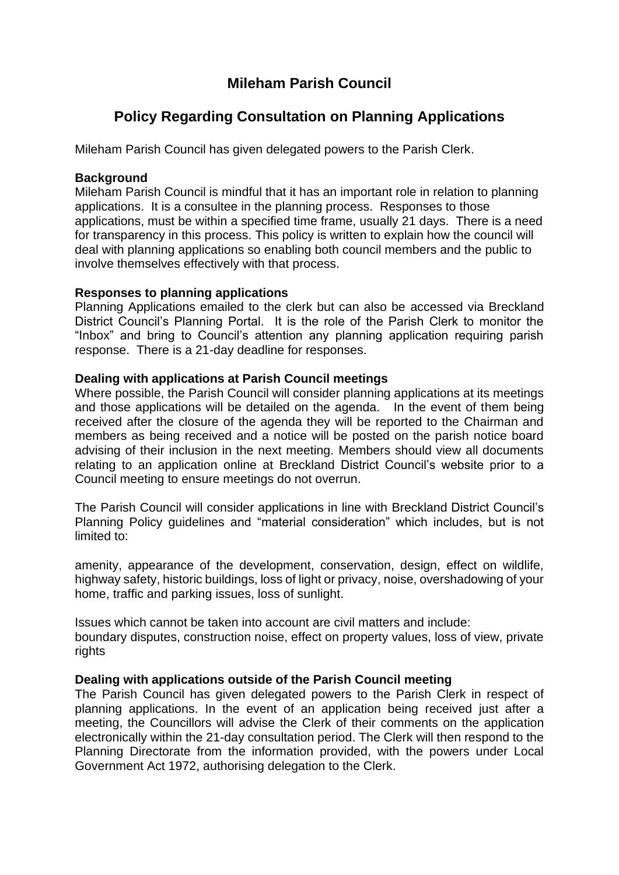## **Mileham Parish Council**

# **Policy Regarding Consultation on Planning Applications**

Mileham Parish Council has given delegated powers to the Parish Clerk.

### **Background**

Mileham Parish Council is mindful that it has an important role in relation to planning applications. It is a consultee in the planning process. Responses to those applications, must be within a specified time frame, usually 21 days. There is a need for transparency in this process. This policy is written to explain how the council will deal with planning applications so enabling both council members and the public to involve themselves effectively with that process.

#### **Responses to planning applications**

Planning Applications emailed to the clerk but can also be accessed via Breckland District Council's Planning Portal. It is the role of the Parish Clerk to monitor the "Inbox" and bring to Council's attention any planning application requiring parish response. There is a 21-day deadline for responses.

## **Dealing with applications at Parish Council meetings**

Where possible, the Parish Council will consider planning applications at its meetings and those applications will be detailed on the agenda. In the event of them being received after the closure of the agenda they will be reported to the Chairman and members as being received and a notice will be posted on the parish notice board advising of their inclusion in the next meeting. Members should view all documents relating to an application online at Breckland District Council's website prior to a Council meeting to ensure meetings do not overrun.

The Parish Council will consider applications in line with Breckland District Council's Planning Policy guidelines and "material consideration" which includes, but is not limited to:

amenity, appearance of the development, conservation, design, effect on wildlife, highway safety, historic buildings, loss of light or privacy, noise, overshadowing of your home, traffic and parking issues, loss of sunlight.

Issues which cannot be taken into account are civil matters and include: boundary disputes, construction noise, effect on property values, loss of view, private rights

#### **Dealing with applications outside of the Parish Council meeting**

The Parish Council has given delegated powers to the Parish Clerk in respect of planning applications. In the event of an application being received just after a meeting, the Councillors will advise the Clerk of their comments on the application electronically within the 21-day consultation period. The Clerk will then respond to the Planning Directorate from the information provided, with the powers under Local Government Act 1972, authorising delegation to the Clerk.